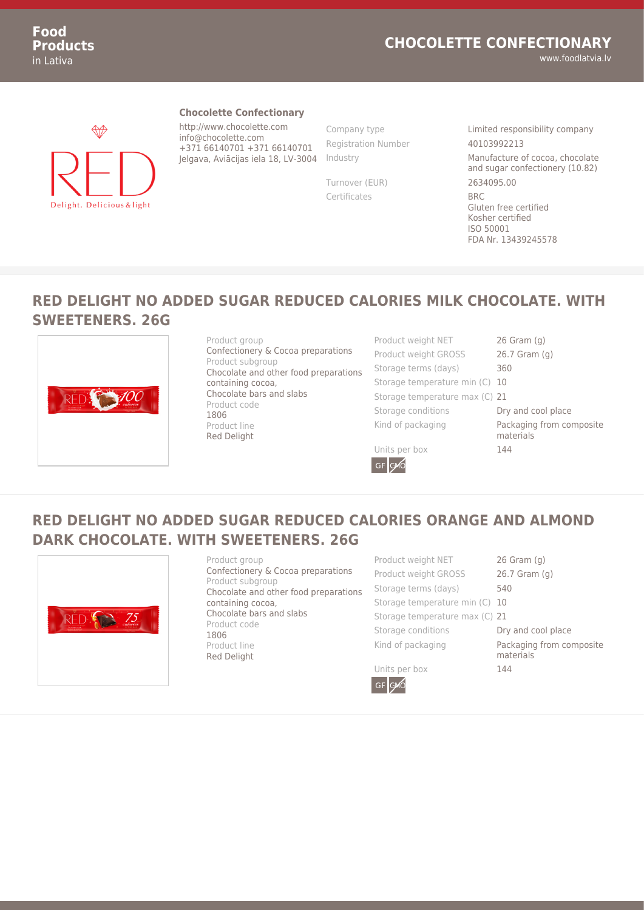#### **CHOCOLETTE CONFECTIONARY**

**Food Products** in Lativa

# ₩ Delight. Delicious & light

#### **Chocolette Confectionary**

http://www.chocolette.com info@chocolette.com +371 66140701 +371 66140701 Jelgava, Aviācijas iela 18, LV-3004 Registration Number 40103992213

Certificates BRC

Company type Limited responsibility company Industry Manufacture of cocoa, chocolate and sugar confectionery (10.82) Turnover (EUR) 2634095.00 Gluten free certified Kosher certified ISO 50001 FDA Nr. 13439245578

www.foodlatvia.lv

#### **RED DELIGHT NO ADDED SUGAR REDUCED CALORIES MILK CHOCOLATE. WITH SWEETENERS. 26G**



Product group Confectionery & Cocoa preparations Product subgroup Chocolate and other food preparations containing cocoa, Chocolate bars and slabs Product code 1806 Product line Red Delight

Product weight NET 26 Gram (g) Product weight GROSS 26.7 Gram (g) Storage terms (days) 360 Storage temperature min (C) 10 Storage temperature max (C) 21 Storage conditions **Dry and cool place** Kind of packaging **Packaging from composite** materials

Units per box 144

GF **GMC** 

### **RED DELIGHT NO ADDED SUGAR REDUCED CALORIES ORANGE AND ALMOND DARK CHOCOLATE. WITH SWEETENERS. 26G**



Product group Confectionery & Cocoa preparations Product subgroup Chocolate and other food preparations containing cocoa, Chocolate bars and slabs Product code 1806 Product line Red Delight

Product weight NET 26 Gram (g) Product weight GROSS 26.7 Gram (g) Storage terms (days) 540 Storage temperature min (C) 10 Storage temperature max (C) 21 Storage conditions **Dry and cool place** Kind of packaging **Packaging from composite** materials Units per box 144

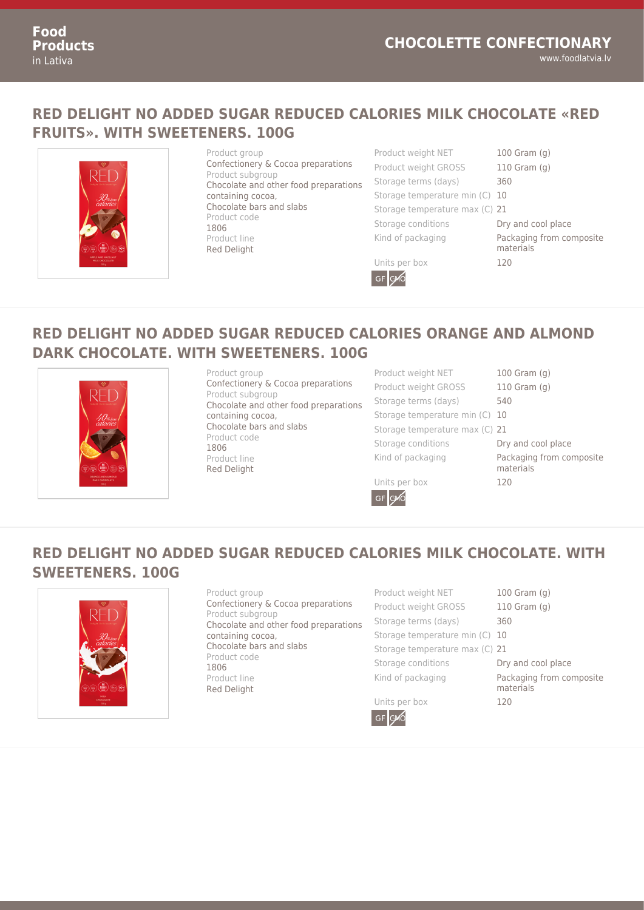#### **RED DELIGHT NO ADDED SUGAR REDUCED CALORIES MILK CHOCOLATE «RED FRUITS». WITH SWEETENERS. 100G**



Product group Confectionery & Cocoa preparations Product subgroup Chocolate and other food preparations containing cocoa, Chocolate bars and slabs Product code 1806 Product line Red Delight

Product weight NET 100 Gram (g) Product weight GROSS 110 Gram (g) Storage terms (days) 360 Storage temperature min (C) 10 Storage temperature max (C) 21 Storage conditions **Dry and cool place** Kind of packaging **Packaging from composite** 

materials

Units per box 120



## **RED DELIGHT NO ADDED SUGAR REDUCED CALORIES ORANGE AND ALMOND DARK CHOCOLATE. WITH SWEETENERS. 100G**



Product group Confectionery & Cocoa preparations Product subgroup Chocolate and other food preparations containing cocoa, Chocolate bars and slabs Product code 1806 Product line Red Delight

Product weight NET 100 Gram (g) Product weight GROSS 110 Gram (g) Storage terms (days) 540 Storage temperature min (C) 10 Storage temperature max (C) 21 Storage conditions **Dry and cool place** Kind of packaging **Packaging from composite** 

materials

Units per box 120

GF GMO

## **RED DELIGHT NO ADDED SUGAR REDUCED CALORIES MILK CHOCOLATE. WITH SWEETENERS. 100G**



Product group Confectionery & Cocoa preparations Product subgroup Chocolate and other food preparations containing cocoa, Chocolate bars and slabs Product code 1806 Product line Red Delight

Product weight NET 100 Gram (g) Product weight GROSS 110 Gram (g) Storage terms (days) 360 Storage temperature min (C) 10 Storage temperature max (C) 21 Storage conditions **Dry and cool place** Kind of packaging **Packaging from composite** 



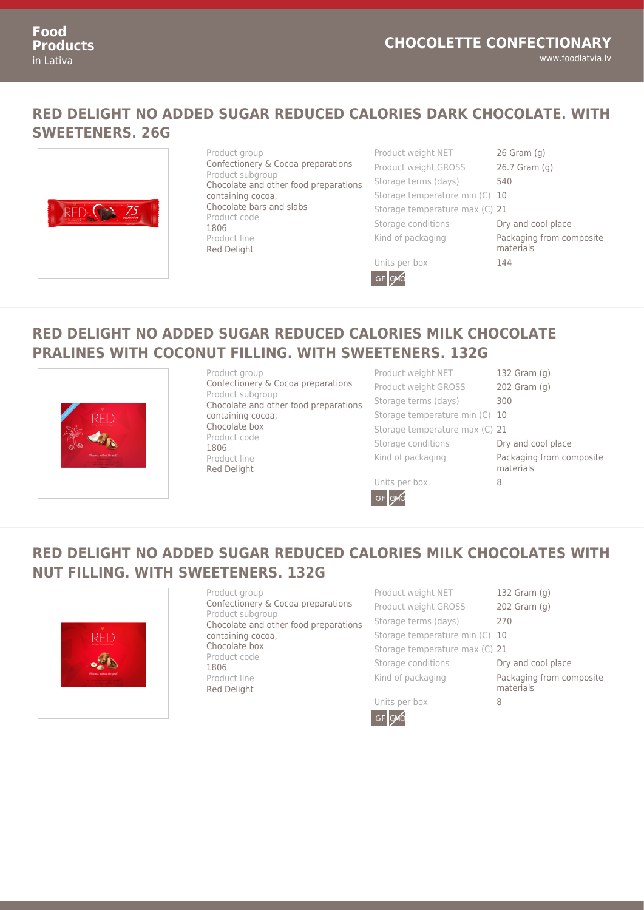#### **RED DELIGHT NO ADDED SUGAR REDUCED CALORIES DARK CHOCOLATE. WITH SWEETENERS. 26G**



## **RED DELIGHT NO ADDED SUGAR REDUCED CALORIES MILK CHOCOLATE PRALINES WITH COCONUT FILLING. WITH SWEETENERS. 132G**



Product group Confectionery & Cocoa preparations Product subgroup Chocolate and other food preparations containing cocoa, Chocolate box Product code 1806 Product line Red Delight

Product weight NET 132 Gram (g) Product weight GROSS 202 Gram (g) Storage terms (days) 300 Storage temperature min (C) 10 Storage temperature max (C) 21 Storage conditions **Dry and cool place** Kind of packaging **Packaging from composite** 

materials

Units per box 8

GF GMO

## **RED DELIGHT NO ADDED SUGAR REDUCED CALORIES MILK CHOCOLATES WITH NUT FILLING. WITH SWEETENERS. 132G**



Product group Confectionery & Cocoa preparations Product subgroup Chocolate and other food preparations containing cocoa, Chocolate box Product code 1806 Product line Red Delight

Product weight NET 132 Gram (g) Product weight GROSS 202 Gram (g) Storage terms (days) 270 Storage temperature min (C) 10 Storage temperature max (C) 21 Storage conditions **Dry and cool place** Kind of packaging **Packaging from composite** 



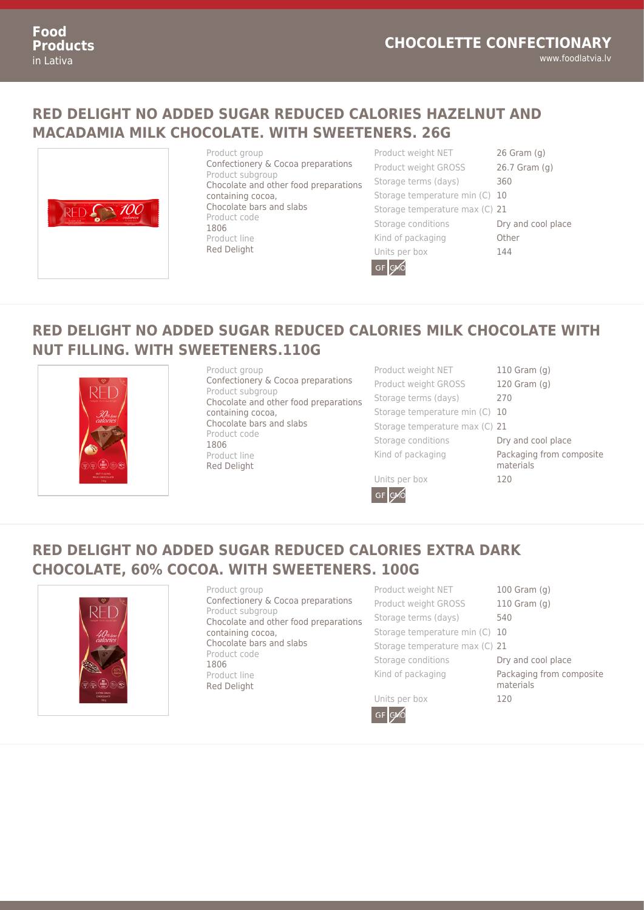### **RED DELIGHT NO ADDED SUGAR REDUCED CALORIES HAZELNUT AND MACADAMIA MILK CHOCOLATE. WITH SWEETENERS. 26G**



Product group Confectionery & Cocoa preparations Product subgroup Chocolate and other food preparations containing cocoa, Chocolate bars and slabs Product code 1806 Product line Red Delight

Product weight NET 26 Gram (g) Product weight GROSS 26.7 Gram (g) Storage terms (days) 360 Storage temperature min (C) 10 Storage temperature max (C) 21 Storage conditions **Dry and cool place** Kind of packaging **Canadia** Other Units per box 144



## **RED DELIGHT NO ADDED SUGAR REDUCED CALORIES MILK CHOCOLATE WITH NUT FILLING. WITH SWEETENERS.110G**



Product group Confectionery & Cocoa preparations Product subgroup Chocolate and other food preparations containing cocoa, Chocolate bars and slabs Product code 1806 Product line Red Delight

Product weight NET 110 Gram (g) Product weight GROSS 120 Gram (g) Storage terms (days) 270 Storage temperature min (C) 10 Storage temperature max (C) 21 Storage conditions **Dry and cool place** Kind of packaging **Packaging from composite** materials Units per box 120

GF GVO

### **RED DELIGHT NO ADDED SUGAR REDUCED CALORIES EXTRA DARK CHOCOLATE, 60% COCOA. WITH SWEETENERS. 100G**



Product group Confectionery & Cocoa preparations Product subgroup Chocolate and other food preparations containing cocoa, Chocolate bars and slabs Product code 1806 Product line Red Delight

Product weight NET 100 Gram (g) Product weight GROSS 110 Gram (g) Storage terms (days) 540 Storage temperature min (C) 10 Storage temperature max (C) 21 Storage conditions **Dry and cool place** Kind of packaging **Packaging from composite** 

Units per box 120 GF GAO

- 
- 
-